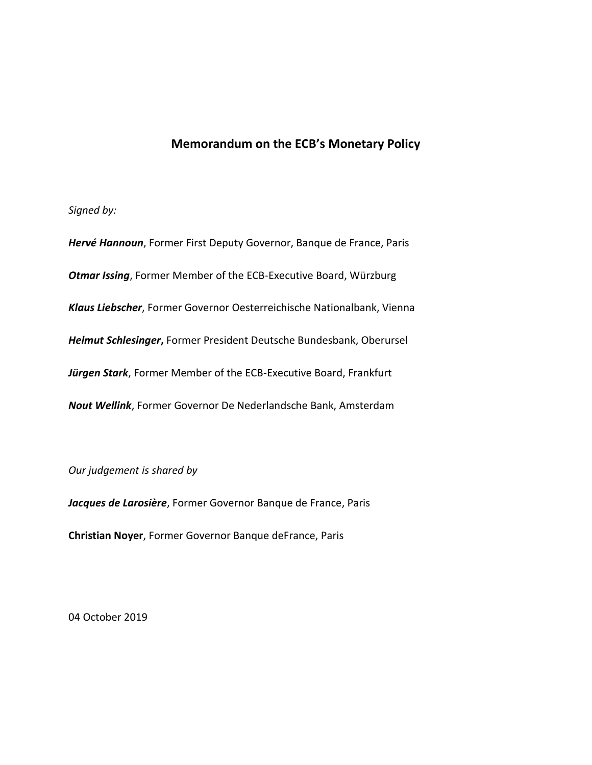## **Memorandum on the ECB's Monetary Policy**

## *Signed by:*

*Hervé Hannoun*, Former First Deputy Governor, Banque de France, Paris *Otmar Issing*, Former Member of the ECB-Executive Board, Würzburg *Klaus Liebscher*, Former Governor Oesterreichische Nationalbank, Vienna *Helmut Schlesinger***,** Former President Deutsche Bundesbank, Oberursel *Jürgen Stark*, Former Member of the ECB-Executive Board, Frankfurt *Nout Wellink*, Former Governor De Nederlandsche Bank, Amsterdam

*Our judgement is shared by*

*Jacques de Larosière*, Former Governor Banque de France, Paris

**Christian Noyer**, Former Governor Banque deFrance, Paris

04 October 2019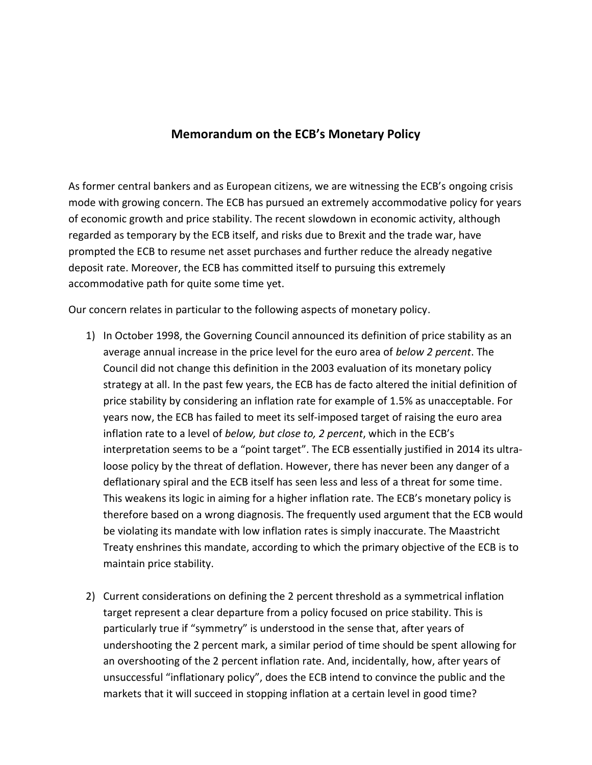## **Memorandum on the ECB's Monetary Policy**

As former central bankers and as European citizens, we are witnessing the ECB's ongoing crisis mode with growing concern. The ECB has pursued an extremely accommodative policy for years of economic growth and price stability. The recent slowdown in economic activity, although regarded as temporary by the ECB itself, and risks due to Brexit and the trade war, have prompted the ECB to resume net asset purchases and further reduce the already negative deposit rate. Moreover, the ECB has committed itself to pursuing this extremely accommodative path for quite some time yet.

Our concern relates in particular to the following aspects of monetary policy.

- 1) In October 1998, the Governing Council announced its definition of price stability as an average annual increase in the price level for the euro area of *below 2 percent*. The Council did not change this definition in the 2003 evaluation of its monetary policy strategy at all. In the past few years, the ECB has de facto altered the initial definition of price stability by considering an inflation rate for example of 1.5% as unacceptable. For years now, the ECB has failed to meet its self-imposed target of raising the euro area inflation rate to a level of *below, but close to, 2 percent*, which in the ECB's interpretation seems to be a "point target". The ECB essentially justified in 2014 its ultraloose policy by the threat of deflation. However, there has never been any danger of a deflationary spiral and the ECB itself has seen less and less of a threat for some time. This weakens its logic in aiming for a higher inflation rate. The ECB's monetary policy is therefore based on a wrong diagnosis. The frequently used argument that the ECB would be violating its mandate with low inflation rates is simply inaccurate. The Maastricht Treaty enshrines this mandate, according to which the primary objective of the ECB is to maintain price stability.
- 2) Current considerations on defining the 2 percent threshold as a symmetrical inflation target represent a clear departure from a policy focused on price stability. This is particularly true if "symmetry" is understood in the sense that, after years of undershooting the 2 percent mark, a similar period of time should be spent allowing for an overshooting of the 2 percent inflation rate. And, incidentally, how, after years of unsuccessful "inflationary policy", does the ECB intend to convince the public and the markets that it will succeed in stopping inflation at a certain level in good time?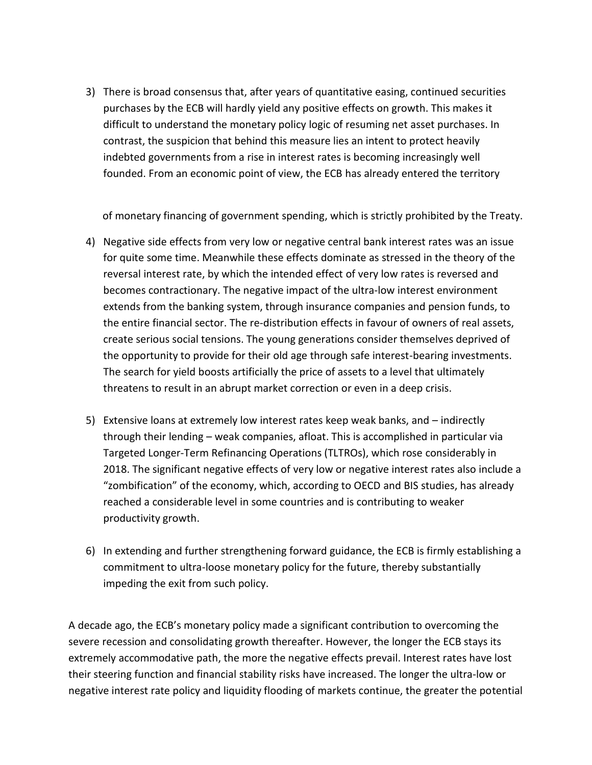3) There is broad consensus that, after years of quantitative easing, continued securities purchases by the ECB will hardly yield any positive effects on growth. This makes it difficult to understand the monetary policy logic of resuming net asset purchases. In contrast, the suspicion that behind this measure lies an intent to protect heavily indebted governments from a rise in interest rates is becoming increasingly well founded. From an economic point of view, the ECB has already entered the territory

of monetary financing of government spending, which is strictly prohibited by the Treaty.

- 4) Negative side effects from very low or negative central bank interest rates was an issue for quite some time. Meanwhile these effects dominate as stressed in the theory of the reversal interest rate, by which the intended effect of very low rates is reversed and becomes contractionary. The negative impact of the ultra-low interest environment extends from the banking system, through insurance companies and pension funds, to the entire financial sector. The re-distribution effects in favour of owners of real assets, create serious social tensions. The young generations consider themselves deprived of the opportunity to provide for their old age through safe interest-bearing investments. The search for yield boosts artificially the price of assets to a level that ultimately threatens to result in an abrupt market correction or even in a deep crisis.
- 5) Extensive loans at extremely low interest rates keep weak banks, and indirectly through their lending – weak companies, afloat. This is accomplished in particular via Targeted Longer-Term Refinancing Operations (TLTROs), which rose considerably in 2018. The significant negative effects of very low or negative interest rates also include a "zombification" of the economy, which, according to OECD and BIS studies, has already reached a considerable level in some countries and is contributing to weaker productivity growth.
- 6) In extending and further strengthening forward guidance, the ECB is firmly establishing a commitment to ultra-loose monetary policy for the future, thereby substantially impeding the exit from such policy.

A decade ago, the ECB's monetary policy made a significant contribution to overcoming the severe recession and consolidating growth thereafter. However, the longer the ECB stays its extremely accommodative path, the more the negative effects prevail. Interest rates have lost their steering function and financial stability risks have increased. The longer the ultra-low or negative interest rate policy and liquidity flooding of markets continue, the greater the potential